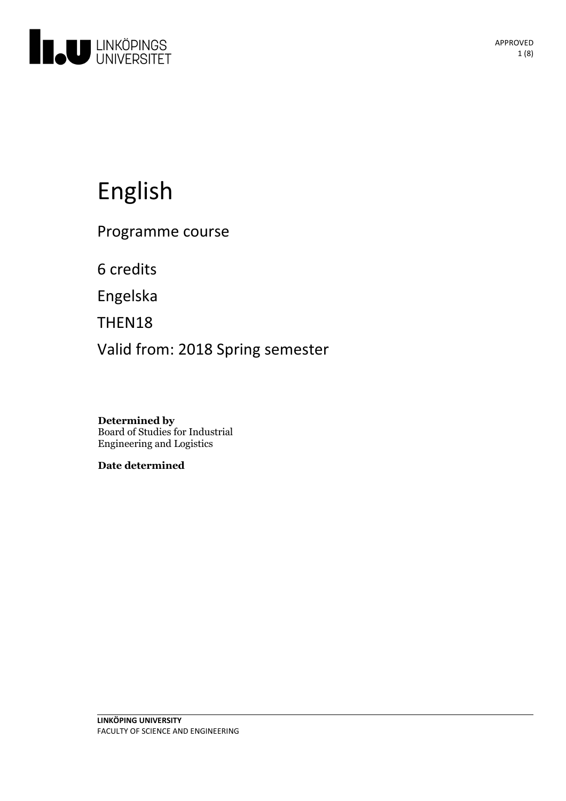

# English

Programme course

6 credits

Engelska

THEN18

Valid from: 2018 Spring semester

**Determined by** Board of Studies for Industrial Engineering and Logistics

**Date determined**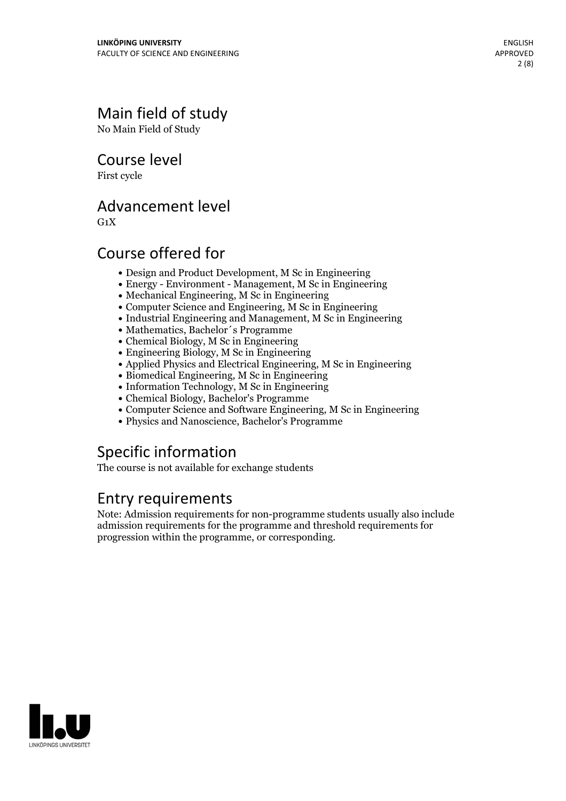# Main field of study

No Main Field of Study

Course level

First cycle

## Advancement level

 $G_1X$ 

# Course offered for

- Design and Product Development, M Sc in Engineering
- Energy Environment Management, M Sc in Engineering
- Mechanical Engineering, M Sc in Engineering
- Computer Science and Engineering, M Sc in Engineering
- Industrial Engineering and Management, M Sc in Engineering
- Mathematics, Bachelor´s Programme
- Chemical Biology, M Sc in Engineering
- Engineering Biology, M Sc in Engineering
- Applied Physics and Electrical Engineering, M Sc in Engineering
- Biomedical Engineering, M Sc in Engineering
- Information Technology, M Sc in Engineering
- Chemical Biology, Bachelor's Programme
- Computer Science and Software Engineering, M Sc in Engineering
- Physics and Nanoscience, Bachelor's Programme

# Specific information

The course is not available for exchange students

## Entry requirements

Note: Admission requirements for non-programme students usually also include admission requirements for the programme and threshold requirements for progression within the programme, or corresponding.

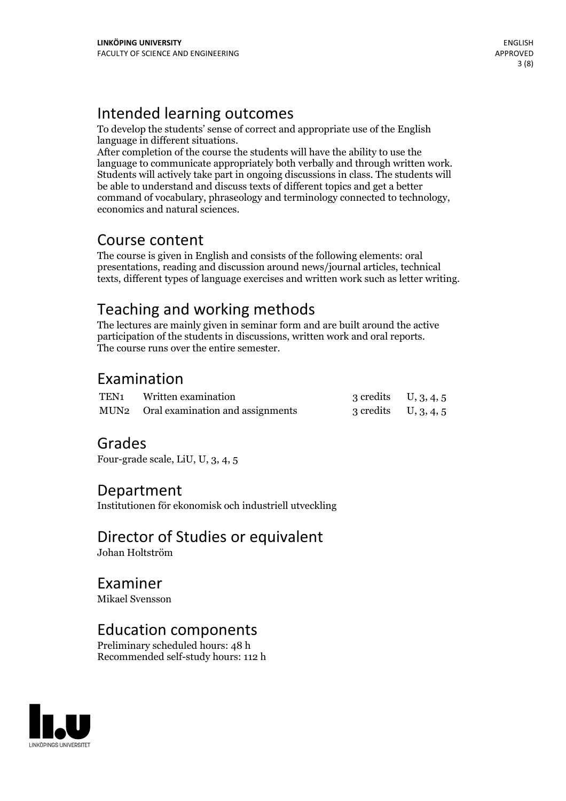# Intended learning outcomes

To develop the students' sense of correct and appropriate use of the English language in different situations.

After completion of the course the students will have the ability to use the language to communicate appropriately both verbally and through written work. Students will actively take part in ongoing discussions in class. The students will be able to understand and discuss texts of different topics and get a better command of vocabulary, phraseology and terminology connected to technology, economics and natural sciences.

### Course content

The course is given in English and consists of the following elements: oral presentations, reading and discussion around news/journal articles, technical texts, different types of language exercises and written work such as letter writing.

# Teaching and working methods

The lectures are mainly given in seminar form and are built around the active participation of the students in discussions, written work and oral reports. The course runs over the entire semester.

# Examination

| TEN <sub>1</sub> Written examination  | 3 credits $U, 3, 4, 5$ |  |
|---------------------------------------|------------------------|--|
| MUN2 Oral examination and assignments | 3 credits $U, 3, 4, 5$ |  |

# Grades

Four-grade scale, LiU, U, 3, 4, 5

### Department

Institutionen för ekonomisk och industriell utveckling

Director of Studies or equivalent Johan Holtström

Examiner Mikael Svensson

### Education components

Preliminary scheduled hours: 48 h Recommended self-study hours: 112 h

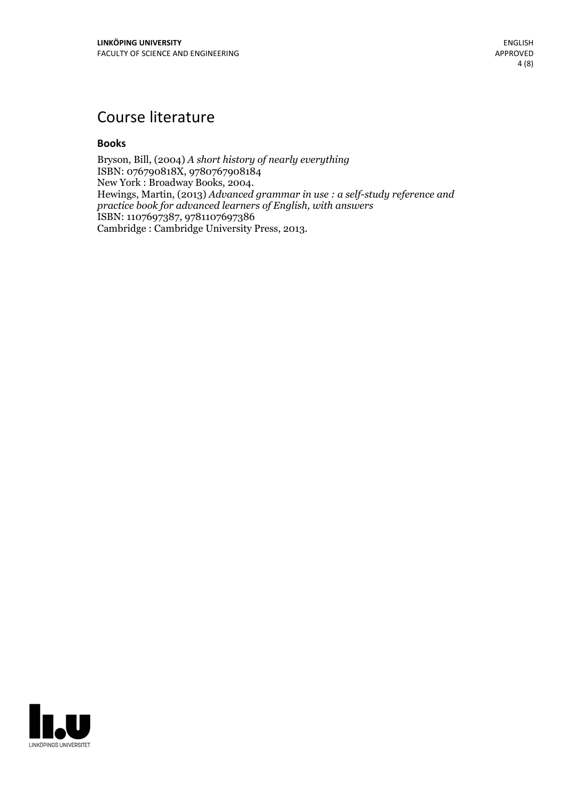# Course literature

### **Books**

Bryson, Bill, (2004) *A short history of nearly everything* ISBN: 076790818X, 9780767908184<br>New York : Broadway Books, 2004. Hewings, Martin, (2013) *Advanced grammar in use* : a self-study reference and *practice book for advanced learners of English, with answers* ISBN: 1107697387, 9781107697386 Cambridge : Cambridge University Press, 2013.

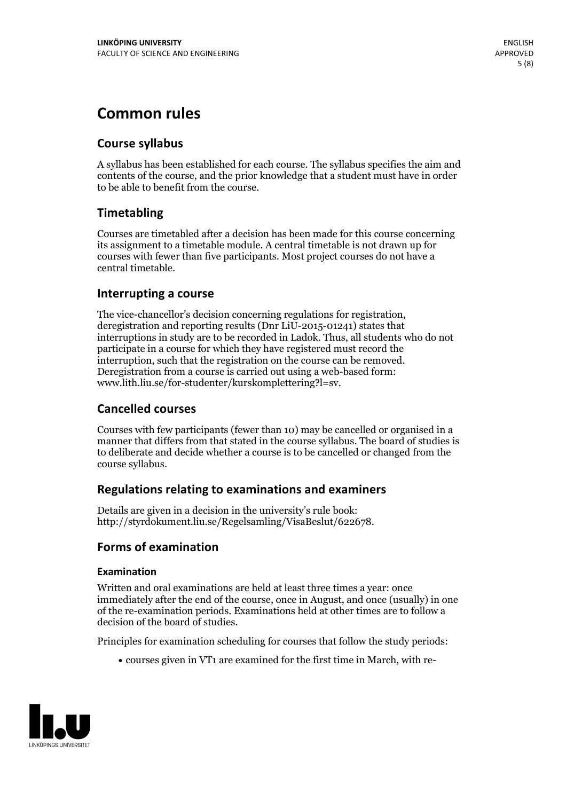# **Common rules**

### **Course syllabus**

A syllabus has been established for each course. The syllabus specifies the aim and contents of the course, and the prior knowledge that a student must have in order to be able to benefit from the course.

### **Timetabling**

Courses are timetabled after a decision has been made for this course concerning its assignment to a timetable module. A central timetable is not drawn up for courses with fewer than five participants. Most project courses do not have a central timetable.

### **Interrupting a course**

The vice-chancellor's decision concerning regulations for registration, deregistration and reporting results (Dnr LiU-2015-01241) states that interruptions in study are to be recorded in Ladok. Thus, all students who do not participate in a course for which they have registered must record the interruption, such that the registration on the course can be removed. Deregistration from <sup>a</sup> course is carried outusing <sup>a</sup> web-based form: www.lith.liu.se/for-studenter/kurskomplettering?l=sv.

### **Cancelled courses**

Courses with few participants (fewer than 10) may be cancelled or organised in a manner that differs from that stated in the course syllabus. The board of studies is to deliberate and decide whether a course is to be cancelled orchanged from the course syllabus.

### **Regulations relatingto examinations and examiners**

Details are given in a decision in the university's rule book: http://styrdokument.liu.se/Regelsamling/VisaBeslut/622678.

### **Forms of examination**

### **Examination**

Written and oral examinations are held at least three times a year: once immediately after the end of the course, once in August, and once (usually) in one of the re-examination periods. Examinations held at other times are to follow a decision of the board of studies.

Principles for examination scheduling for courses that follow the study periods:

courses given in VT1 are examined for the first time in March, with re-

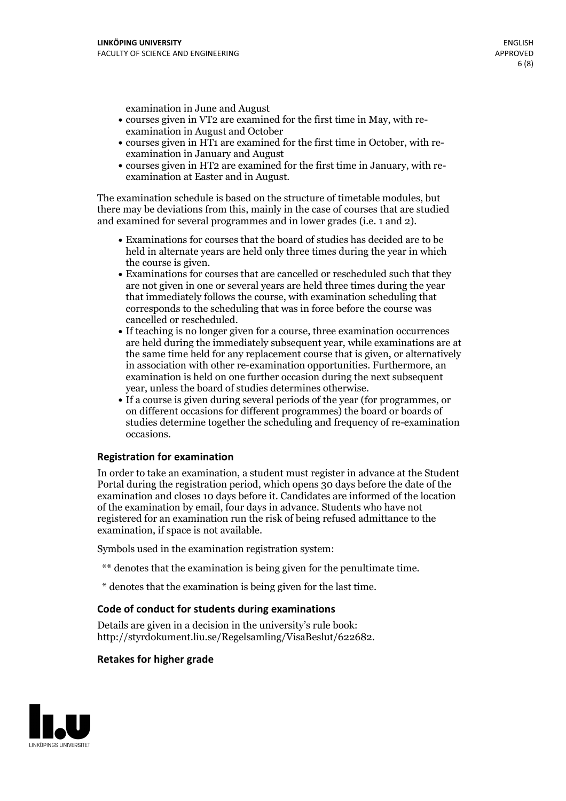examination in June and August

- courses given in VT2 are examined for the first time in May, with re-examination in August and October
- courses given in HT1 are examined for the first time in October, with re-examination in January and August
- courses given in HT2 are examined for the first time in January, with re-examination at Easter and in August.

The examination schedule is based on the structure of timetable modules, but there may be deviations from this, mainly in the case of courses that are studied and examined for several programmes and in lower grades (i.e. 1 and 2).

- Examinations for courses that the board of studies has decided are to be held in alternate years are held only three times during the year in which
- the course is given.<br>• Examinations for courses that are cancelled or rescheduled such that they are not given in one or several years are held three times during the year that immediately follows the course, with examination scheduling that corresponds to the scheduling that was in force before the course was cancelled or rescheduled.<br>• If teaching is no longer given for a course, three examination occurrences
- are held during the immediately subsequent year, while examinations are at the same time held for any replacement course that is given, or alternatively in association with other re-examination opportunities. Furthermore, an examination is held on one further occasion during the next subsequent year, unless the board of studies determines otherwise.<br>• If a course is given during several periods of the year (for programmes, or
- on different occasions for different programmes) the board orboards of studies determine together the scheduling and frequency of re-examination occasions.

### **Registration for examination**

In order to take an examination, a student must register in advance at the Student Portal during the registration period, which opens 30 days before the date of the examination and closes 10 days before it. Candidates are informed of the location of the examination by email, four days in advance. Students who have not registered for an examination run the risk of being refused admittance to the examination, if space is not available.

Symbols used in the examination registration system:

- \*\* denotes that the examination is being given for the penultimate time.
- \* denotes that the examination is being given for the last time.

### **Code of conduct for students during examinations**

Details are given in a decision in the university's rule book: http://styrdokument.liu.se/Regelsamling/VisaBeslut/622682.

#### **Retakes for higher grade**

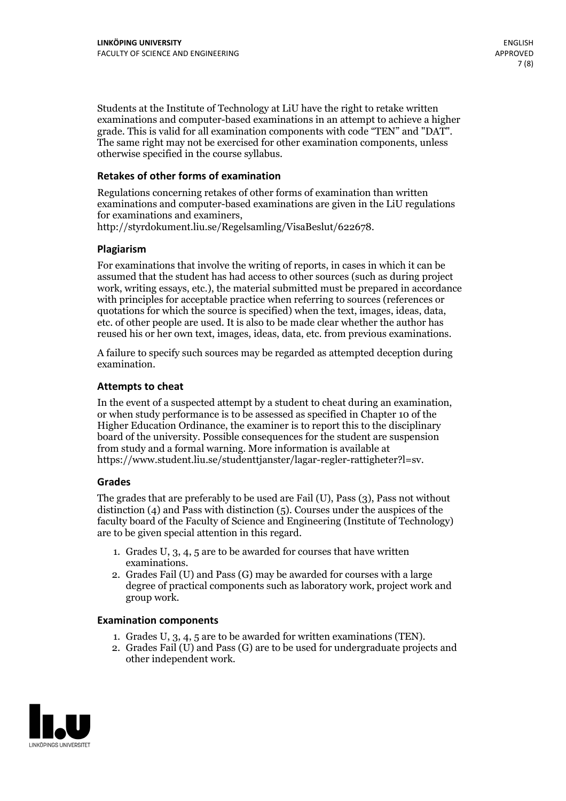Students at the Institute of Technology at LiU have the right to retake written examinations and computer-based examinations in an attempt to achieve a higher grade. This is valid for all examination components with code "TEN" and "DAT". The same right may not be exercised for other examination components, unless otherwise specified in the course syllabus.

### **Retakes of other forms of examination**

Regulations concerning retakes of other forms of examination than written examinations and computer-based examinations are given in the LiU regulations for examinations and examiners, http://styrdokument.liu.se/Regelsamling/VisaBeslut/622678.

### **Plagiarism**

For examinations that involve the writing of reports, in cases in which it can be assumed that the student has had access to other sources (such as during project work, writing essays, etc.), the material submitted must be prepared in accordance with principles for acceptable practice when referring to sources (references or quotations for which the source is specified) when the text, images, ideas, data, etc. of other people are used. It is also to be made clear whether the author has reused his or her own text, images, ideas, data, etc. from previous examinations.

A failure to specify such sources may be regarded as attempted deception during examination.

### **Attempts to cheat**

In the event of <sup>a</sup> suspected attempt by <sup>a</sup> student to cheat during an examination, or when study performance is to be assessed as specified in Chapter <sup>10</sup> of the Higher Education Ordinance, the examiner is to report this to the disciplinary board of the university. Possible consequences for the student are suspension from study and a formal warning. More information is available at https://www.student.liu.se/studenttjanster/lagar-regler-rattigheter?l=sv.

### **Grades**

The grades that are preferably to be used are Fail (U), Pass (3), Pass not without distinction  $(4)$  and Pass with distinction  $(5)$ . Courses under the auspices of the faculty board of the Faculty of Science and Engineering (Institute of Technology) are to be given special attention in this regard.

- 1. Grades U, 3, 4, 5 are to be awarded for courses that have written
- examinations. 2. Grades Fail (U) and Pass (G) may be awarded for courses with <sup>a</sup> large degree of practical components such as laboratory work, project work and group work.

### **Examination components**

- 
- 1. Grades U, 3, 4, <sup>5</sup> are to be awarded for written examinations (TEN). 2. Grades Fail (U) and Pass (G) are to be used for undergraduate projects and other independent work.